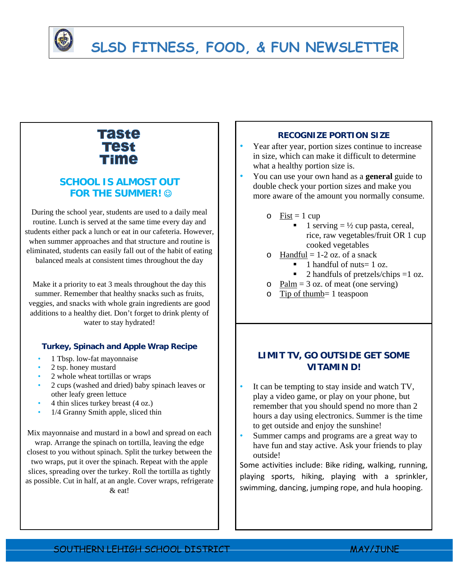

# **SLSD FITNESS, FOOD, & FUN NEWSLETTER**

## Taste **Test** Time

## **SCHOOL IS ALMOST OUT FOR THE SUMMER!**

During the school year, students are used to a daily meal routine. Lunch is served at the same time every day and students either pack a lunch or eat in our cafeteria. However, when summer approaches and that structure and routine is eliminated, students can easily fall out of the habit of eating balanced meals at consistent times throughout the day

Make it a priority to eat 3 meals throughout the day this summer. Remember that healthy snacks such as fruits, veggies, and snacks with whole grain ingredients are good additions to a healthy diet. Don't forget to drink plenty of water to stay hydrated!

#### **Turkey, Spinach and Apple Wrap Recipe**

- 1 Tbsp. low-fat mayonnaise
- 2 tsp. honey mustard
- 2 whole wheat tortillas or wraps
- 2 cups (washed and dried) baby spinach leaves or other leafy green lettuce
- 4 thin slices turkey breast (4 oz.)
- 1/4 Granny Smith apple, sliced thin

Mix mayonnaise and mustard in a bowl and spread on each wrap. Arrange the spinach on tortilla, leaving the edge closest to you without spinach. Split the turkey between the two wraps, put it over the spinach. Repeat with the apple slices, spreading over the turkey. Roll the tortilla as tightly as possible. Cut in half, at an angle. Cover wraps, refrigerate & eat!

#### **RECOGNIZE PORTION SIZE**

• Year after year, portion sizes continue to increase in size, which can make it difficult to determine what a healthy portion size is.

• You can use your own hand as a **general** guide to double check your portion sizes and make you more aware of the amount you normally consume.

- $\circ$  Fist = 1 cup
	- $\blacksquare$  1 serving  $= \frac{1}{2}$  cup pasta, cereal, rice, raw vegetables/fruit OR 1 cup cooked vegetables
- $\circ$  Handful = 1-2 oz. of a snack
	- $\blacksquare$  1 handful of nuts = 1 oz.
	- $\blacksquare$  2 handfuls of pretzels/chips =1 oz.
- o Palm =  $3$  oz. of meat (one serving)
- o Tip of thumb= 1 teaspoon

### **LIMIT TV, GO OUTSIDE GET SOME VITAMIN D!**

- It can be tempting to stay inside and watch TV, play a video game, or play on your phone, but remember that you should spend no more than 2 hours a day using electronics. Summer is the time to get outside and enjoy the sunshine!
- Summer camps and programs are a great way to have fun and stay active. Ask your friends to play outside!

Some activities include: Bike riding, walking, running, playing sports, hiking, playing with a sprinkler, swimming, dancing, jumping rope, and hula hooping.